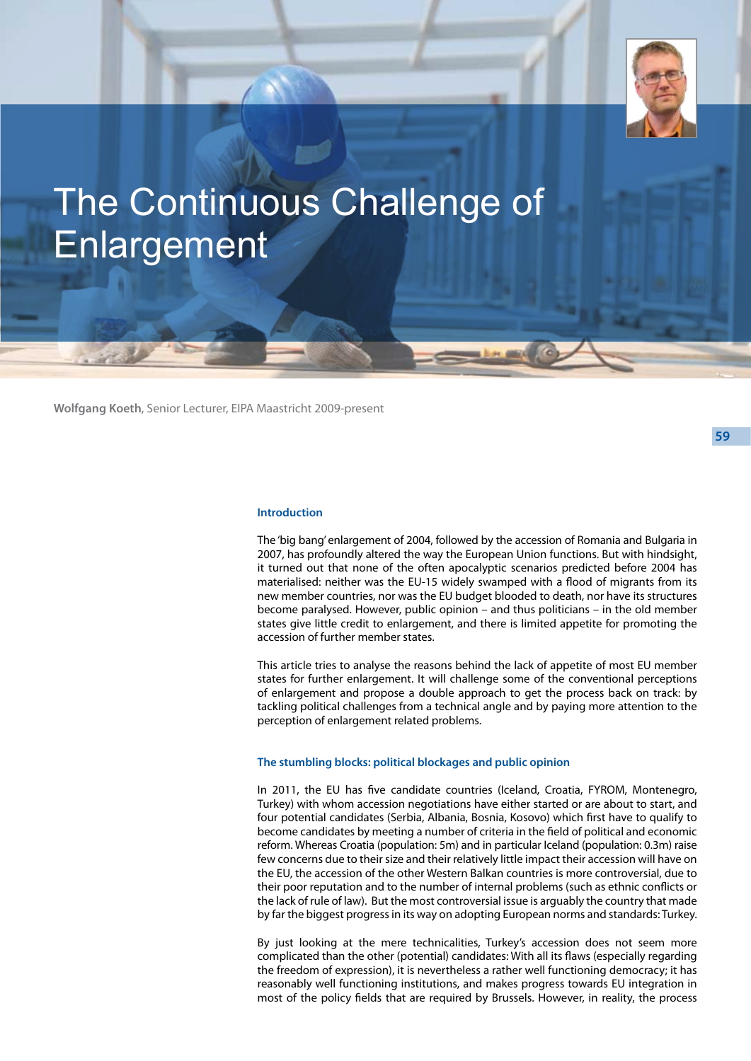

# The Continuous Challenge of Enlargement

**Wolfgang Koeth**, Senior Lecturer, EIPA Maastricht 2009-present

**59**

## **Introduction**

The 'big bang' enlargement of 2004, followed by the accession of Romania and Bulgaria in 2007, has profoundly altered the way the European Union functions. But with hindsight, it turned out that none of the often apocalyptic scenarios predicted before 2004 has materialised: neither was the EU-15 widely swamped with a flood of migrants from its new member countries, nor was the EU budget blooded to death, nor have its structures become paralysed. However, public opinion – and thus politicians – in the old member states give little credit to enlargement, and there is limited appetite for promoting the accession of further member states.

This article tries to analyse the reasons behind the lack of appetite of most EU member states for further enlargement. It will challenge some of the conventional perceptions of enlargement and propose a double approach to get the process back on track: by tackling political challenges from a technical angle and by paying more attention to the perception of enlargement related problems.

### **The stumbling blocks: political blockages and public opinion**

In 2011, the EU has five candidate countries (Iceland, Croatia, FYROM, Montenegro, Turkey) with whom accession negotiations have either started or are about to start, and four potential candidates (Serbia, Albania, Bosnia, Kosovo) which first have to qualify to become candidates by meeting a number of criteria in the field of political and economic reform. Whereas Croatia (population: 5m) and in particular Iceland (population: 0.3m) raise few concerns due to their size and their relatively little impact their accession will have on the EU, the accession of the other Western Balkan countries is more controversial, due to their poor reputation and to the number of internal problems (such as ethnic conflicts or the lack of rule of law). But the most controversial issue is arguably the country that made by far the biggest progress in its way on adopting European norms and standards: Turkey.

By just looking at the mere technicalities, Turkey's accession does not seem more complicated than the other (potential) candidates: With all its flaws (especially regarding the freedom of expression), it is nevertheless a rather well functioning democracy; it has reasonably well functioning institutions, and makes progress towards EU integration in most of the policy fields that are required by Brussels. However, in reality, the process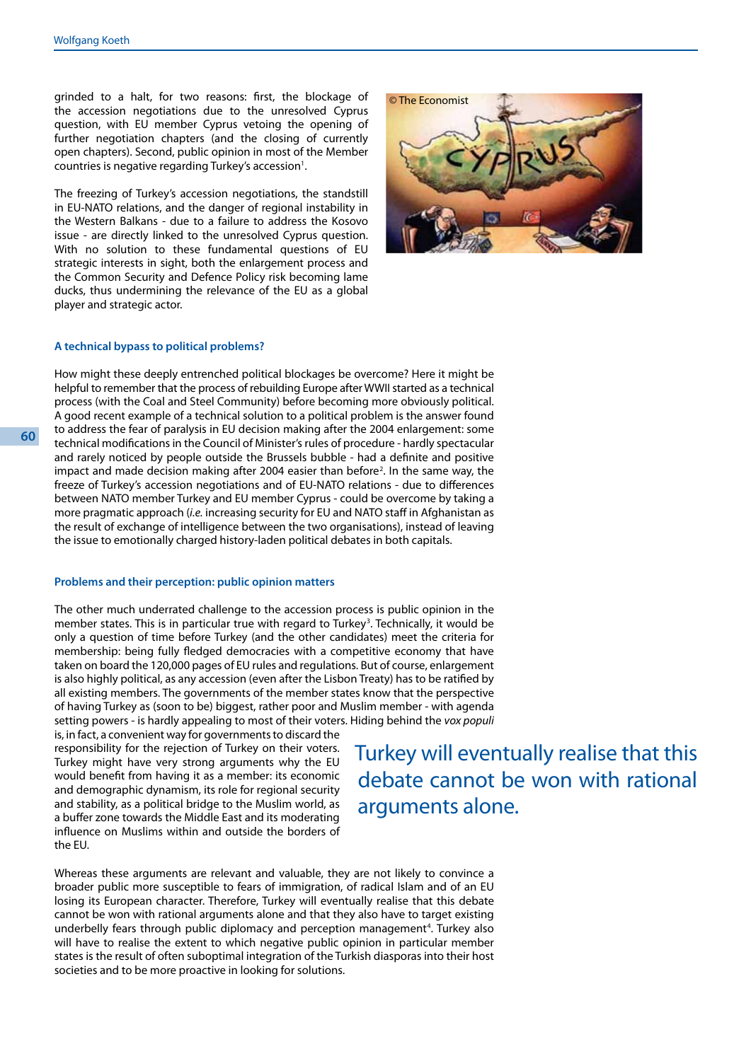grinded to a halt, for two reasons: first, the blockage of the accession negotiations due to the unresolved Cyprus question, with EU member Cyprus vetoing the opening of further negotiation chapters (and the closing of currently open chapters). Second, public opinion in most of the Member countries is negative regarding Turkey's accession<sup>1</sup>.

The freezing of Turkey's accession negotiations, the standstill in EU-NATO relations, and the danger of regional instability in the Western Balkans - due to a failure to address the Kosovo issue - are directly linked to the unresolved Cyprus question. With no solution to these fundamental questions of EU strategic interests in sight, both the enlargement process and the Common Security and Defence Policy risk becoming lame ducks, thus undermining the relevance of the EU as a global player and strategic actor.



## **A technical bypass to political problems?**

How might these deeply entrenched political blockages be overcome? Here it might be helpful to remember that the process of rebuilding Europe after WWII started as a technical process (with the Coal and Steel Community) before becoming more obviously political. A good recent example of a technical solution to a political problem is the answer found to address the fear of paralysis in EU decision making after the 2004 enlargement: some technical modifications in the Council of Minister's rules of procedure - hardly spectacular and rarely noticed by people outside the Brussels bubble - had a definite and positive impact and made decision making after 2004 easier than before<sup>2</sup>. In the same way, the freeze of Turkey's accession negotiations and of EU-NATO relations - due to differences between NATO member Turkey and EU member Cyprus - could be overcome by taking a more pragmatic approach (*i.e.* increasing security for EU and NATO staff in Afghanistan as the result of exchange of intelligence between the two organisations), instead of leaving the issue to emotionally charged history-laden political debates in both capitals.

#### **Problems and their perception: public opinion matters**

The other much underrated challenge to the accession process is public opinion in the member states. This is in particular true with regard to Turkey<sup>3</sup>. Technically, it would be only a question of time before Turkey (and the other candidates) meet the criteria for membership: being fully fledged democracies with a competitive economy that have taken on board the 120,000 pages of EU rules and regulations. But of course, enlargement is also highly political, as any accession (even after the Lisbon Treaty) has to be ratified by all existing members. The governments of the member states know that the perspective of having Turkey as (soon to be) biggest, rather poor and Muslim member - with agenda setting powers - is hardly appealing to most of their voters. Hiding behind the *vox populi* 

is, in fact, a convenient way for governments to discard the responsibility for the rejection of Turkey on their voters. Turkey might have very strong arguments why the EU would benefit from having it as a member: its economic and demographic dynamism, its role for regional security and stability, as a political bridge to the Muslim world, as a buffer zone towards the Middle East and its moderating influence on Muslims within and outside the borders of the EU.

Turkey will eventually realise that this debate cannot be won with rational arguments alone.

Whereas these arguments are relevant and valuable, they are not likely to convince a broader public more susceptible to fears of immigration, of radical Islam and of an EU losing its European character. Therefore, Turkey will eventually realise that this debate cannot be won with rational arguments alone and that they also have to target existing underbelly fears through public diplomacy and perception management<sup>4</sup>. Turkey also will have to realise the extent to which negative public opinion in particular member states is the result of often suboptimal integration of the Turkish diasporas into their host societies and to be more proactive in looking for solutions.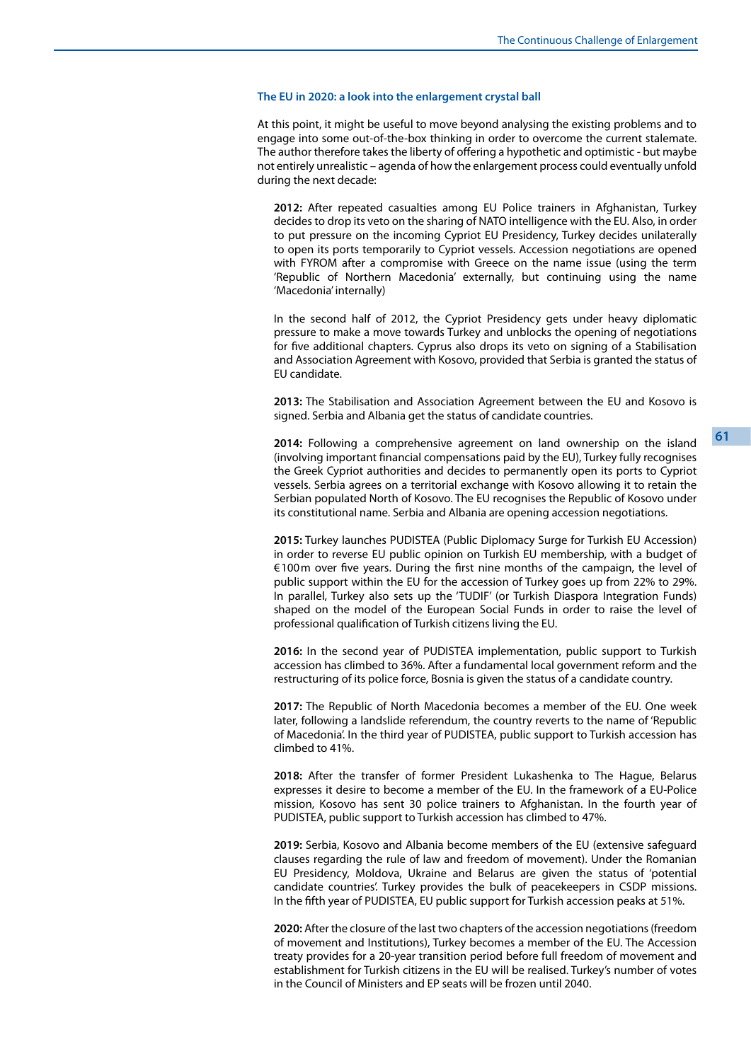#### **The EU in 2020: a look into the enlargement crystal ball**

At this point, it might be useful to move beyond analysing the existing problems and to engage into some out-of-the-box thinking in order to overcome the current stalemate. The author therefore takes the liberty of offering a hypothetic and optimistic - but maybe not entirely unrealistic – agenda of how the enlargement process could eventually unfold during the next decade:

**2012:** After repeated casualties among EU Police trainers in Afghanistan, Turkey decides to drop its veto on the sharing of NATO intelligence with the EU. Also, in order to put pressure on the incoming Cypriot EU Presidency, Turkey decides unilaterally to open its ports temporarily to Cypriot vessels. Accession negotiations are opened with FYROM after a compromise with Greece on the name issue (using the term 'Republic of Northern Macedonia' externally, but continuing using the name 'Macedonia' internally)

In the second half of 2012, the Cypriot Presidency gets under heavy diplomatic pressure to make a move towards Turkey and unblocks the opening of negotiations for five additional chapters. Cyprus also drops its veto on signing of a Stabilisation and Association Agreement with Kosovo, provided that Serbia is granted the status of EU candidate.

**2013:** The Stabilisation and Association Agreement between the EU and Kosovo is signed. Serbia and Albania get the status of candidate countries.

**2014:** Following a comprehensive agreement on land ownership on the island (involving important financial compensations paid by the EU), Turkey fully recognises the Greek Cypriot authorities and decides to permanently open its ports to Cypriot vessels. Serbia agrees on a territorial exchange with Kosovo allowing it to retain the Serbian populated North of Kosovo. The EU recognises the Republic of Kosovo under its constitutional name. Serbia and Albania are opening accession negotiations.

**2015:** Turkey launches PUDISTEA (Public Diplomacy Surge for Turkish EU Accession) in order to reverse EU public opinion on Turkish EU membership, with a budget of €100m over five years. During the first nine months of the campaign, the level of public support within the EU for the accession of Turkey goes up from 22% to 29%. In parallel, Turkey also sets up the 'TUDIF' (or Turkish Diaspora Integration Funds) shaped on the model of the European Social Funds in order to raise the level of professional qualification of Turkish citizens living the EU.

**2016:** In the second year of PUDISTEA implementation, public support to Turkish accession has climbed to 36%. After a fundamental local government reform and the restructuring of its police force, Bosnia is given the status of a candidate country.

**2017:** The Republic of North Macedonia becomes a member of the EU. One week later, following a landslide referendum, the country reverts to the name of 'Republic of Macedonia'. In the third year of PUDISTEA, public support to Turkish accession has climbed to 41%.

**2018:** After the transfer of former President Lukashenka to The Hague, Belarus expresses it desire to become a member of the EU. In the framework of a EU-Police mission, Kosovo has sent 30 police trainers to Afghanistan. In the fourth year of PUDISTEA, public support to Turkish accession has climbed to 47%.

**2019:** Serbia, Kosovo and Albania become members of the EU (extensive safeguard clauses regarding the rule of law and freedom of movement). Under the Romanian EU Presidency, Moldova, Ukraine and Belarus are given the status of 'potential candidate countries'. Turkey provides the bulk of peacekeepers in CSDP missions. In the fifth year of PUDISTEA, EU public support for Turkish accession peaks at 51%.

**2020:** After the closure of the last two chapters of the accession negotiations (freedom of movement and Institutions), Turkey becomes a member of the EU. The Accession treaty provides for a 20-year transition period before full freedom of movement and establishment for Turkish citizens in the EU will be realised. Turkey's number of votes in the Council of Ministers and EP seats will be frozen until 2040.